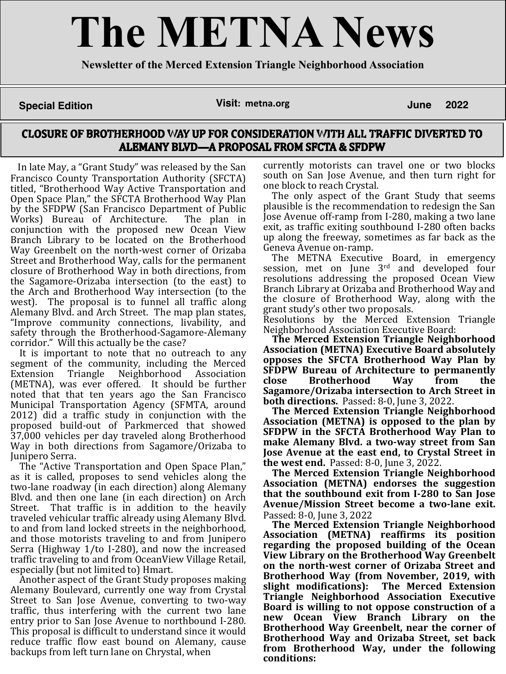# **The METNA News**

**Newsletter of the Merced Extension Triangle Neighborhood Association**

# **Special Edition Visit: metna.org**

**June 2022**

## CLOSURE OF BROTHERHOOD WAY UP FOR CONSIDERATION WITH ALL TRAFFIC DIVERTED TO **ALEMANY BLVD-A PROPOSAL FROM SFCTA & SFDPW**

In late May, a "Grant Study" was released by the San Francisco County Transportation Authority (SFCTA) titled, "Brotherhood Way Active Transportation and Open Space Plan," the SFCTA Brotherhood Way Plan by the SFDPW (San Francisco Department of Public Works) Bureau of Architecture. The plan in conjunction with the proposed new Ocean View Branch Library to be located on the Brotherhood Way Greenbelt on the north-west corner of Orizaba Street and Brotherhood Way, calls for the permanent closure of Brotherhood Way in both directions, from the Sagamore-Orizaba intersection (to the east) to the Arch and Brotherhood Way intersection (to the west). The proposal is to funnel all traffic along Alemany Blvd. and Arch Street. The map plan states, "Improve community connections, livability, and safety through the Brotherhood-Sagamore-Alemany corridor." Will this actually be the case?

It is important to note that no outreach to any segment of the community, including the Merced Extension Triangle Neighborhood Association (METNA), was ever offered. It should be further noted that that ten years ago the San Francisco Municipal Transportation Agency (SFMTA, around 2012) did a traffic study in conjunction with the proposed build-out of Parkmerced that showed 37,000 vehicles per day traveled along Brotherhood Way in both directions from Sagamore/Orizaba to Junipero Serra.

The "Active Transportation and Open Space Plan," as it is called, proposes to send vehicles along the two-lane roadway (in each direction) along Alemany Blvd. and then one lane (in each direction) on Arch Street. That traffic is in addition to the heavily traveled vehicular traffic already using Alemany Blvd. to and from land locked streets in the neighborhood, and those motorists traveling to and from Junipero Serra (Highway 1/to I-280), and now the increased traffic traveling to and from OceanView Village Retail, especially (but not limited to) Hmart.

Another aspect of the Grant Study proposes making Alemany Boulevard, currently one way from Crystal Street to San Jose Avenue, converting to two-way traffic, thus interfering with the current two lane entry prior to San Jose Avenue to northbound I-280. This proposal is difficult to understand since it would reduce traffic flow east bound on Alemany, cause backups from left turn lane on Chrystal, when

currently motorists can travel one or two blocks south on San Jose Avenue, and then turn right for

one block to reach Crystal. The only aspect of the Grant Study that seems plausible is the recommendation to redesign the San Jose Avenue off-ramp from I-280, making a two lane exit, as traffic exiting southbound I-280 often backs up along the freeway, sometimes as far back as the

Geneva Avenue on-ramp. The METNA Executive Board, in emergency session, met on June 3rd and developed four resolutions addressing the proposed Ocean View Branch Library at Orizaba and Brotherhood Way and the closure of Brotherhood Way, along with the

grant study's other two proposals. Resolutions by the Merced Extension Triangle Neighborhood Association Executive Board:

**The Merced Extension Triangle Neighborhood Association (METNA) Executive Board absolutely opposes the SFCTA Brotherhood Way Plan by SFDPW Bureau of Architecture to permanently close Brotherhood Way from the Sagamore/Orizaba intersection to Arch Street in both directions.** Passed: 8-0, June 3, 2022.

**The Merced Extension Triangle Neighborhood Association (METNA) is opposed to the plan by SFDPW in the SFCTA Brotherhood Way Plan to make Alemany Blvd. a two-way street from San Jose Avenue at the east end, to Crystal Street in the west end.** Passed: 8-0, June 3, 2022.

**The Merced Extension Triangle Neighborhood Association (METNA) endorses the suggestion that the southbound exit from I-280 to San Jose Avenue/Mission Street become a two-lane exit.** Passed: 8-0, June 3, 2022

**The Merced Extension Triangle Neighborhood Association (METNA) reaffirms its position regarding the proposed building of the Ocean View Library on the Brotherhood Way Greenbelt on the north-west corner of Orizaba Street and Brotherhood Way (from November, 2019, with slight modifications): The Merced Extension Triangle Neighborhood Association Executive Board is willing to not oppose construction of a new Ocean View Branch Library on the Brotherhood Way Greenbelt, near the corner of Brotherhood Way and Orizaba Street, set back from Brotherhood Way, under the following conditions:**